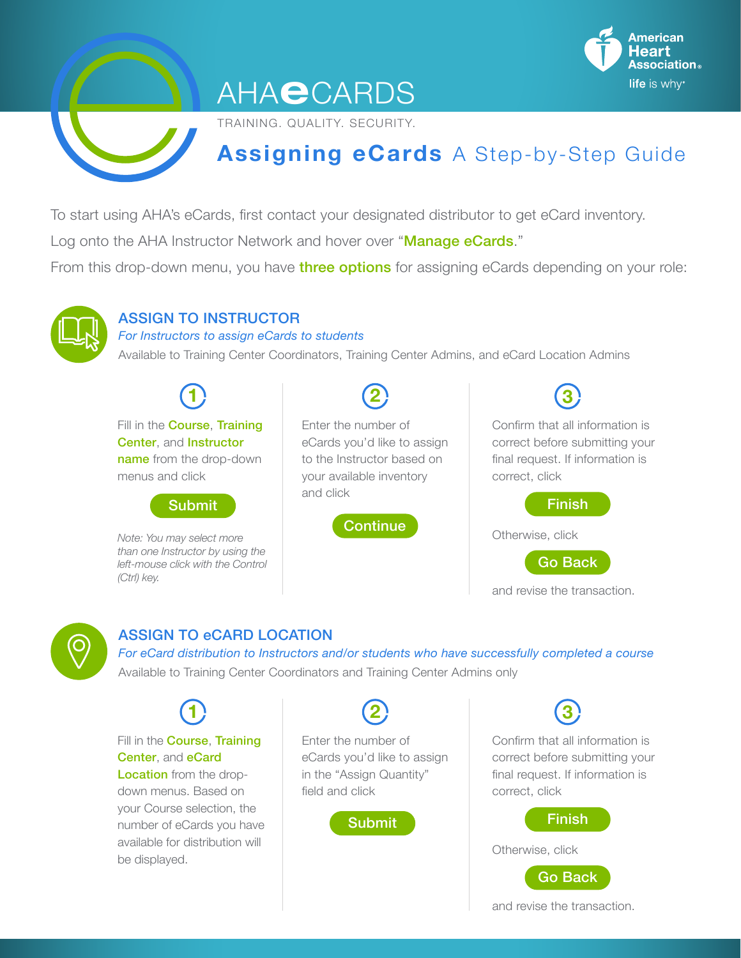

# **AHAeCARDS**

TRAINING. QUALITY. SECURITY.

# **Assigning eCards** A Step-by-Step Guide

To start using AHA's eCards, first contact your designated distributor to get eCard inventory.

Log onto the AHA Instructor Network and hover over "Manage eCards."

From this drop-down menu, you have three options for assigning eCards depending on your role:



#### ASSIGN TO INSTRUCTOR

*For Instructors to assign eCards to students*

Available to Training Center Coordinators, Training Center Admins, and eCard Location Admins

**2**

**1**

Fill in the **Course**, **Training** Center, and Instructor name from the drop-down menus and click



*Note: You may select more than one Instructor by using the left-mouse click with the Control (Ctrl) key.* 

Enter the number of eCards you'd like to assign to the Instructor based on your available inventory and click



Confirm that all information is correct before submitting your final request. If information is correct, click Finish **3**

Otherwise, click

Go Back

and revise the transaction.



### ASSIGN TO eCARD LOCATION

*For eCard distribution to Instructors and/or students who have successfully completed a course* Available to Training Center Coordinators and Training Center Admins only

**1** Fill in the **Course**. **Training** Center, and eCard Location from the drop-

down menus. Based on your Course selection, the number of eCards you have available for distribution will be displayed.

Enter the number of eCards you'd like to assign in the "Assign Quantity" field and click

**2**



Confirm that all information is correct before submitting your final request. If information is correct, click **3**



and revise the transaction.